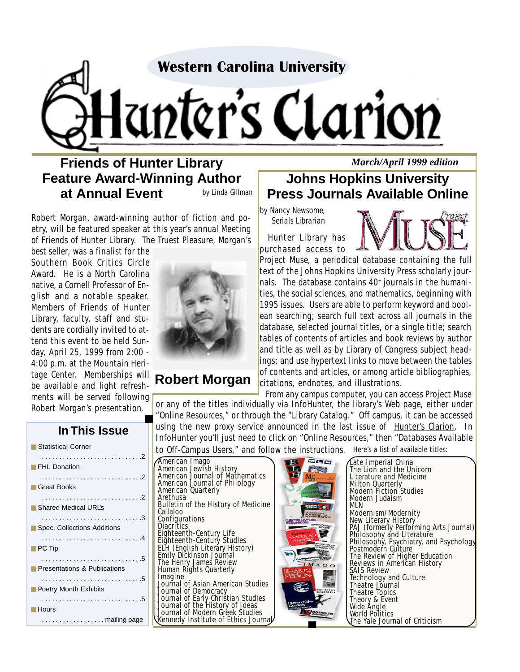

#### **Friends of Hunter Library Feature Award-Winning Author at Annual Event** *by Linda Gillman*

Robert Morgan, award-winning author of fiction and poetry, will be featured speaker at this year's annual Meeting of Friends of Hunter Library. *The Truest Pleasure*, Morgan's | Hunter Library has

*best seller*, was a finalist for the Southern Book Critics Circle Award. He is a North Carolina native, a Cornell Professor of English and a notable speaker. Members of Friends of Hunter Library, faculty, staff and students are cordially invited to attend this event to be held Sunday, April 25, 1999 from 2:00 - 4:00 p.m. at the Mountain Heritage Center. Memberships will be available and light refreshments will be served following Robert Morgan's presentation. ■

| In This Issue                |  |  |  |  |  |
|------------------------------|--|--|--|--|--|
| Statistical Corner           |  |  |  |  |  |
| <b>FHL Donation</b>          |  |  |  |  |  |
|                              |  |  |  |  |  |
| Great Books                  |  |  |  |  |  |
| ■ Shared Medical URL's       |  |  |  |  |  |
| Spec. Collections Additions  |  |  |  |  |  |
| $\blacksquare$ PC Tip        |  |  |  |  |  |
| Presentations & Publications |  |  |  |  |  |
| Poetry Month Exhibits        |  |  |  |  |  |
| Hours                        |  |  |  |  |  |
| . mailing page               |  |  |  |  |  |



### **Robert Morgan**

*March/April 1999 edition*

## **Johns Hopkins University Press Journals Available Online**

*by Nancy Newsome, Serials Librarian*

purchased access to



Project Muse, a periodical database containing the full text of the Johns Hopkins University Press scholarly journals. The database contains 40+ journals in the humanities, the social sciences, and mathematics, beginning with 1995 issues. Users are able to perform keyword and boolean searching; search full text across all journals in the database, selected journal titles, or a single title; search tables of contents of articles and book reviews by author and title as well as by Library of Congress subject headings; and use hypertext links to move between the tables of contents and articles, or among article bibliographies, citations, endnotes, and illustrations.

> Wide Angle World Politics

The Yale Journal of Criticism

 From any campus computer, you can access Project Muse or any of the titles individually via InfoHunter, the library's Web page, either under "Online Resources," or through the "Library Catalog." Off campus, it can be accessed using the new proxy service announced in the last issue of Hunter's Clarion. In InfoHunter you'll just need to click on "Online Resources," then "Databases Available

to Off-Campus Users," and follow the instructions. Here's a list of available titles:

| American Imago<br>American Jewish History                          |
|--------------------------------------------------------------------|
| American Journal of Mathematics<br>American Journal of Philology   |
| American Quarterly                                                 |
| Arethusa<br>Bulletin of the History of Medicine                    |
| Callaloo<br>Configurations                                         |
| Diacritics                                                         |
| Eighteenth-Century Life<br>Eighteenth-Century Studies              |
| ELH (English Literary History)<br>Emily Dickinson Journal          |
| The Henry James Review<br>Human Rights Quarterly                   |
| Imagine                                                            |
| Journal of Asian American Studies<br>Journal of Democracy          |
| Journal of Early Christian Studies                                 |
| Journal of the History of Ideas<br>Journal of Modern Greek Studies |
| Kennedy Institute of Ethics Journal                                |



Late Imperial China The Lion and the Unicorn Literature and Medicine Milton Quarterly Modern Fiction Studies Modern Judaism MLN Modernism/Modernity New Literary History PAJ (formerly Performing Arts Journal) Philosophy and Literature Philosophy, Psychiatry, and Psychology Postmodern Culture The Review of Higher Education Reviews in American History SAIS Review Technology and Culture Theatre Jõurnal Theatre Topics Theory & Event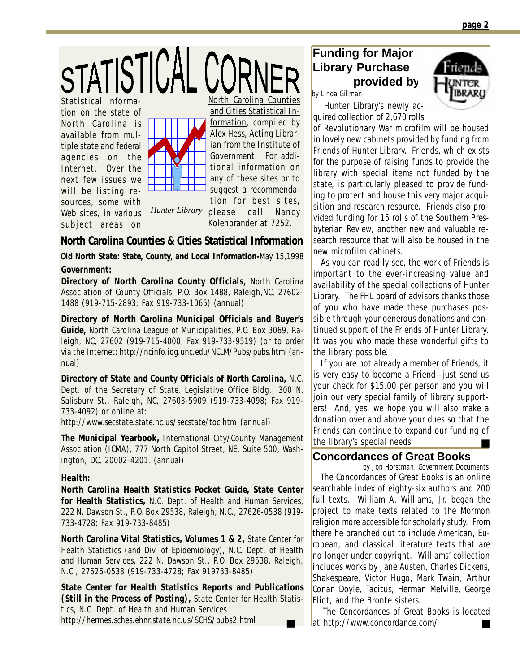STATISTICAL CORNER

tion on the state of North Carolina is available from multiple state and federal agencies on the Internet. Over the next few issues we will be listing resources, some with Web sites, in various subject areas on



North Carolina Counties and Cities Statistical In-

formation, compiled by Alex Hess, Acting Librarian from the Institute of Government. For additional information on any of these sites or to suggest a recommenda-

*Hunter Library* tion for best sites, please call Nancy Kolenbrander at 7252.

#### **North Carolina Counties & Cities Statistical Information**

**Old North State: State, County, and Local Information-**May 15,1998 **Government:**

**Directory of North Carolina County Officials,** North Carolina Association of County Officials, P.O. Box 1488, Raleigh,NC, 27602- 1488 (919-715-2893; Fax 919-733-1065) (annual)

**Directory of North Carolina Municipal Officials and Buyer's Guide,** North Carolina League of Municipalities, P.O. Box 3069, Raleigh, NC, 27602 (919-715-4000; Fax 919-733-9519) (or to order via the Internet: *http://ncinfo.iog.unc.edu/NCLM/Pubs/pubs.html* (annual)

**Directory of State and County Officials of North Carolina,** N.C. Dept. of the Secretary of State, Legislative Office Bldg., 300 N. Salisbury St., Raleigh, NC, 27603-5909 (919-733-4098; Fax 919- 733-4092) or online at:

*http://www.secstate.state.nc.us/secstate/toc.htm* (annual)

**The Municipal Yearbook,** International City/County Management Association (ICMA), 777 North Capitol Street, NE, Suite 500, Washington, DC, 20002-4201. (annual)

#### **Health:**

**North Carolina Health Statistics Pocket Guide, State Center for Health Statistics,** N.C. Dept. of Health and Human Services, 222 N. Dawson St., P.O. Box 29538, Raleigh, N.C., 27626-0538 (919- 733-4728; Fax 919-733-8485)

**North Carolina Vital Statistics, Volumes 1 & 2,** State Center for Health Statistics (and Div. of Epidemiology), N.C. Dept. of Health and Human Services, 222 N. Dawson St., P.O. Box 29538, Raleigh, N.C., 27626-0538 (919-733-4728; Fax 919733-8485)

■ **State Center for Health Statistics Reports and Publications (Still in the Process of Posting),** State Center for Health Statistics, N.C. Dept. of Health and Human Services *http://hermes.sches.ehnr.state.nc.us/SCHS/pubs2.html*

#### **Funding for Major Library Purchase provided by**



*by Linda Gillman*

 Hunter Library's newly acquired collection of 2,670 rolls

of Revolutionary War microfilm will be housed in lovely new cabinets provided by funding from Friends of Hunter Library. Friends, which exists for the purpose of raising funds to provide the library with special items not funded by the state, is particularly pleased to provide funding to protect and house this very major acquisition and research resource. Friends also provided funding for 15 rolls of the *Southern Presbyterian Review*, another new and valuable research resource that will also be housed in the new microfilm cabinets.

 As you can readily see, the work of Friends is important to the ever-increasing value and availability of the special collections of Hunter Library. The FHL board of advisors thanks those of you who have made these purchases possible through your generous donations and continued support of the Friends of Hunter Library. It was you who made these wonderful gifts to the library possible.

■ If you are not already a member of Friends, it is very easy to become a Friend--just send us your check for \$15.00 per person and you will join our very special family of library supporters! And, yes, we hope you will also make a donation over and above your dues so that the Friends can continue to expand our funding of the library's special needs.

#### **Concordances of Great Books**

*by Jon Horstman, Government Documents* The Concordances of Great Books is an online searchable index of eighty-six authors and 200 full texts. William A. Williams, Jr. began the project to make texts related to the Mormon religion more accessible for scholarly study. From there he branched out to include American, European, and classical literature texts that are no longer under copyright. Williams' collection includes works by Jane Austen, Charles Dickens, Shakespeare, Victor Hugo, Mark Twain, Arthur Conan Doyle, Tacitus, Herman Melville, George Eliot, and the Bronte sisters.

 The Concordances of Great Books is located at http://www.concordance.com/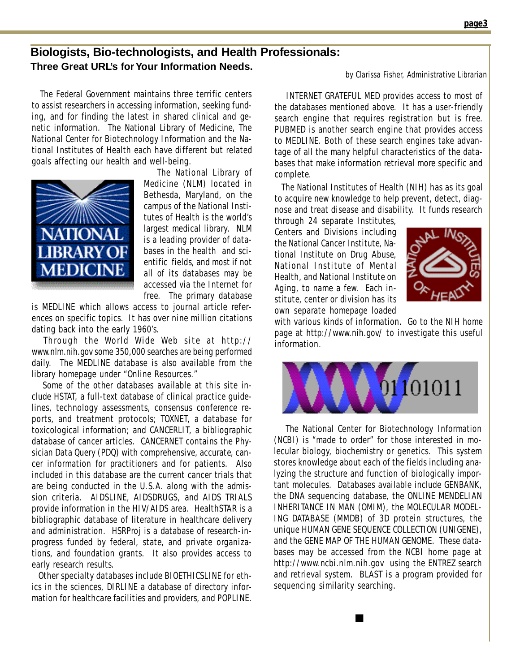#### **Biologists, Bio-technologists, and Health Professionals: Three Great URL's for Your Information Needs.**

 The Federal Government maintains three terrific centers to assist researchers in accessing information, seeking funding, and for finding the latest in shared clinical and genetic information. The National Library of Medicine, The National Center for Biotechnology Information and the National Institutes of Health each have different but related goals affecting our health and well-being.



 The National Library of Medicine (NLM) located in Bethesda, Maryland, on the campus of the National Institutes of Health is the world's largest medical library. NLM is a leading provider of databases in the health and scientific fields, and most if not all of its databases may be accessed via the Internet for free. The primary database

is MEDLINE which allows access to journal article references on specific topics. It has over nine million citations dating back into the early 1960's.

 Through the World Wide Web site at *http:// www.nlm.nih.gov* some 350,000 searches are being performed daily. The MEDLINE database is also available from the library homepage under "Online Resources."

 Some of the other databases available at this site include HSTAT, a full-text database of clinical practice guidelines, technology assessments, consensus conference reports, and treatment protocols; TOXNET, a database for toxicological information; and CANCERLIT, a bibliographic database of cancer articles. CANCERNET contains the Physician Data Query (PDQ) with comprehensive, accurate, cancer information for practitioners and for patients. Also included in this database are the current cancer trials that are being conducted in the U.S.A. along with the admission criteria. AIDSLINE, AIDSDRUGS, and AIDS TRIALS provide information in the HIV/AIDS area. HealthSTAR is a bibliographic database of literature in healthcare delivery and administration. HSRProj is a database of research-inprogress funded by federal, state, and private organizations, and foundation grants. It also provides access to early research results.

 Other specialty databases include BIOETHICSLINE for ethics in the sciences, DIRLINE a database of directory information for healthcare facilities and providers, and POPLINE.

*by Clarissa Fisher, Administrative Librarian*

 INTERNET GRATEFUL MED provides access to most of the databases mentioned above. It has a user-friendly search engine that requires registration but is free. PUBMED is another search engine that provides access to MEDLINE. Both of these search engines take advantage of all the many helpful characteristics of the databases that make information retrieval more specific and complete.

 The National Institutes of Health (NIH) has as its goal to acquire new knowledge to help prevent, detect, diagnose and treat disease and disability. It funds research through 24 separate Institutes,

Centers and Divisions including the National Cancer Institute, National Institute on Drug Abuse, National Institute of Mental Health, and National Institute on Aging, to name a few. Each institute, center or division has its own separate homepage loaded



with various kinds of information. Go to the NIH home page at *http://www.nih.gov/* to investigate this useful information.



 The National Center for Biotechnology Information (NCBI) is "made to order" for those interested in molecular biology, biochemistry or genetics. This system stores knowledge about each of the fields including analyzing the structure and function of biologically important molecules. Databases available include GENBANK, the DNA sequencing database, the ONLINE MENDELIAN INHERITANCE IN MAN (OMIM), the MOLECULAR MODEL-ING DATABASE (MMDB) of 3D protein structures, the unique HUMAN GENE SEQUENCE COLLECTION (UNIGENE), and the GENE MAP OF THE HUMAN GENOME. These databases may be accessed from the NCBI home page at http://www.ncbi.nlm.nih.gov using the ENTREZ search and retrieval system. BLAST is a program provided for sequencing similarity searching.

■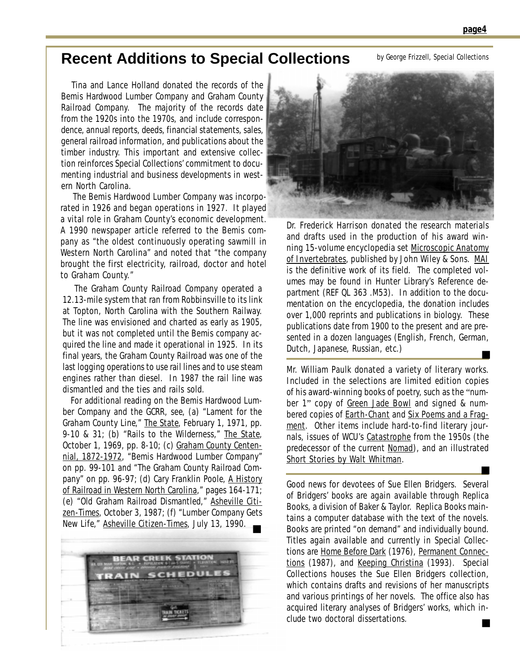## **Recent Additions to Special Collections** *by George Frizzell, Special Collections*

 Tina and Lance Holland donated the records of the Bemis Hardwood Lumber Company and Graham County Railroad Company. The majority of the records date from the 1920s into the 1970s, and include correspondence, annual reports, deeds, financial statements, sales, general railroad information, and publications about the timber industry. This important and extensive collection reinforces Special Collections' commitment to documenting industrial and business developments in western North Carolina.

 The Bemis Hardwood Lumber Company was incorporated in 1926 and began operations in 1927. It played a vital role in Graham County's economic development. A 1990 newspaper article referred to the Bemis company as "the oldest continuously operating sawmill in Western North Carolina" and noted that "the company brought the first electricity, railroad, doctor and hotel to Graham County."

 The Graham County Railroad Company operated a 12.13-mile system that ran from Robbinsville to its link at Topton, North Carolina with the Southern Railway. The line was envisioned and charted as early as 1905, but it was not completed until the Bemis company acquired the line and made it operational in 1925. In its final years, the Graham County Railroad was one of the last logging operations to use rail lines and to use steam engines rather than diesel. In 1987 the rail line was dismantled and the ties and rails sold.

New Life," <u>Asheville Citizen-Times,</u> July 13, 1990. ██ For additional reading on the Bemis Hardwood Lumber Company and the GCRR, see, (a) "Lament for the Graham County Line," The State, February 1, 1971, pp. 9-10 & 31; (b) "Rails to the Wilderness," The State, October 1, 1969, pp. 8-10; (c) Graham County Centennial, 1872-1972, "Bemis Hardwood Lumber Company" on pp. 99-101 and "The Graham County Railroad Company" on pp. 96-97; (d) Cary Franklin Poole, A History of Railroad in Western North Carolina," pages 164-171; (e) "Old Graham Railroad Dismantled," Asheville Citizen-Times, October 3, 1987; (f) "Lumber Company Gets





■ Dr. Frederick Harrison donated the research materials and drafts used in the production of his award winning 15-volume encyclopedia set Microscopic Anatomy of Invertebrates, published by John Wiley & Sons. MAI is *the* definitive work of its field. The completed volumes may be found in Hunter Library's Reference department (REF QL 363 .M53). In addition to the documentation on the encyclopedia, the donation includes over 1,000 reprints and publications in biology. These publications date from 1900 to the present and are presented in a dozen languages (English, French, German, Dutch, Japanese, Russian, etc.)

Mr. William Paulk donated a variety of literary works. Included in the selections are limited edition copies of his award-winning books of poetry, such as the "number 1" copy of Green Jade Bowl and signed & numbered copies of Earth-Chant and Six Poems and a Fragment. Other items include hard-to-find literary journals, issues of WCU's Catastrophe from the 1950s (the predecessor of the current Nomad), and an illustrated Short Stories by Walt Whitman.

■ Good news for devotees of Sue Ellen Bridgers. Several of Bridgers' books are again available through Replica Books, a division of Baker & Taylor. Replica Books maintains a computer database with the text of the novels. Books are printed "on demand" and individually bound. Titles again available and currently in Special Collections are Home Before Dark (1976), Permanent Connections (1987), and Keeping Christina (1993). Special Collections houses the Sue Ellen Bridgers collection, which contains drafts and revisions of her manuscripts and various printings of her novels. The office also has acquired literary analyses of Bridgers' works, which include two doctoral dissertations.

■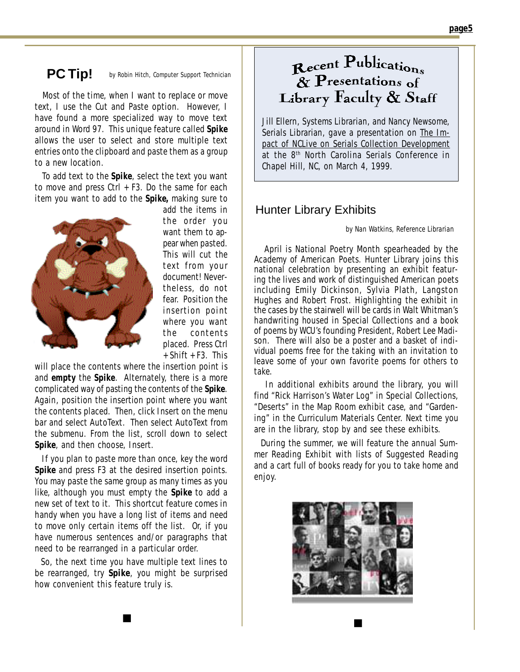## **PC Tip!** *by Robin Hitch, Computer Support Technician*

 Most of the time, when I want to replace or move text, I use the Cut and Paste option. However, I have found a more specialized way to move text around in Word 97. This unique feature called *Spike* allows the user to select and store multiple text entries onto the clipboard and paste them as a group to a new location.

 To add text to the *Spike*, select the text you want to move and press Ctrl  $+$  F3. Do the same for each item you want to add to the *Spike,* making sure to



add the items in the order you want them to appear when pasted. This will cut the text from your document! Nevertheless, do not fear. Position the insertion point where you want the contents placed. Press Ctrl  $+$  Shift  $+$  F3. This

will place the contents where the insertion point is and *empty* the *Spike*. Alternately, there is a more complicated way of pasting the contents of the *Spike*. Again, position the insertion point where you want the contents placed. Then, click Insert on the menu bar and select AutoText. Then select AutoText from the submenu. From the list, scroll down to select *Spike*, and then choose, Insert.

 If you plan to paste more than once, key the word **Spike** and press F3 at the desired insertion points. You may paste the same group as many times as you like, although you must empty the *Spike* to add a new set of text to it. This shortcut feature comes in handy when you have a long list of items and need to move only certain items off the list. Or, if you have numerous sentences and/or paragraphs that need to be rearranged in a particular order.

 So, the next time you have multiple text lines to be rearranged, try **Spike**, you might be surprised how convenient this feature truly is.

■

# Recent Publications<br>& Presentations of Library Faculty & Staff

Jill Ellern, Systems Librarian, and Nancy Newsome, Serials Librarian, gave a presentation on The Impact of NCLive on Serials Collection Development at the 8<sup>th</sup> North Carolina Serials Conference in Chapel Hill, NC, on March 4, 1999.

#### Hunter Library Exhibits

#### *by Nan Watkins, Reference Librarian*

 April is National Poetry Month spearheaded by the Academy of American Poets. Hunter Library joins this national celebration by presenting an exhibit featuring the lives and work of distinguished American poets including Emily Dickinson, Sylvia Plath, Langston Hughes and Robert Frost. Highlighting the exhibit in the cases by the stairwell will be cards in Walt Whitman's handwriting housed in Special Collections and a book of poems by WCU's founding President, Robert Lee Madison. There will also be a poster and a basket of individual poems free for the taking with an invitation to leave some of your own favorite poems for others to take.

 In additional exhibits around the library, you will find "Rick Harrison's Water Log" in Special Collections, "Deserts" in the Map Room exhibit case, and "Gardening" in the Curriculum Materials Center. Next time you are in the library, stop by and see these exhibits.

 During the summer, we will feature the annual Summer Reading Exhibit with lists of Suggested Reading and a cart full of books ready for you to take home and enjoy.



■